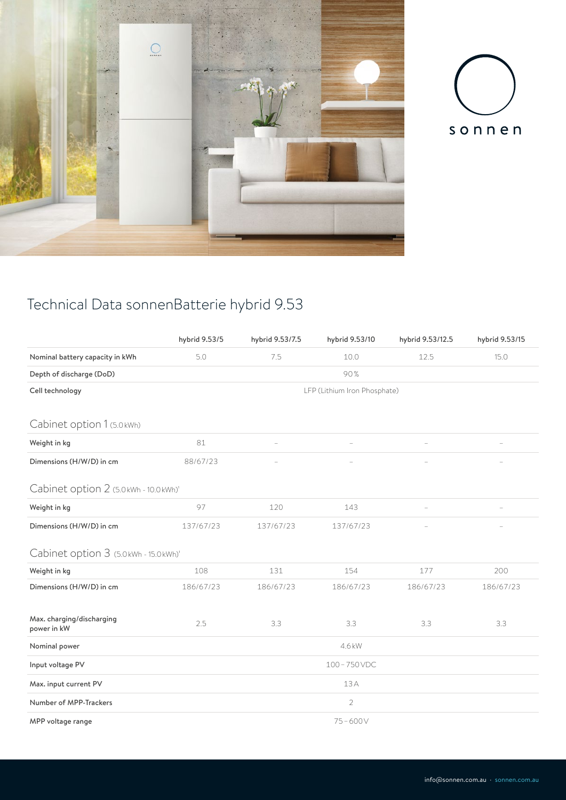



## Technical Data sonnenBatterie hybrid 9.53

|                                          | hybrid 9.53/5                | hybrid 9.53/7.5 | hybrid 9.53/10 | hybrid 9.53/12.5 | hybrid 9.53/15 |  |  |  |  |
|------------------------------------------|------------------------------|-----------------|----------------|------------------|----------------|--|--|--|--|
| Nominal battery capacity in kWh          | 5.0                          | 7.5             | 10.0           | 12.5             | 15.0           |  |  |  |  |
| Depth of discharge (DoD)                 | 90%                          |                 |                |                  |                |  |  |  |  |
| Cell technology                          | LFP (Lithium Iron Phosphate) |                 |                |                  |                |  |  |  |  |
|                                          |                              |                 |                |                  |                |  |  |  |  |
| Cabinet option 1 (5.0 kWh)               |                              |                 |                |                  |                |  |  |  |  |
| Weight in kg                             | 81                           |                 |                |                  |                |  |  |  |  |
| Dimensions (H/W/D) in cm                 | 88/67/23                     |                 |                |                  |                |  |  |  |  |
| Cabinet option 2 (5.0 kWh - 10.0 kWh)'   |                              |                 |                |                  |                |  |  |  |  |
| Weight in kg                             | 97                           | 120             | 143            |                  |                |  |  |  |  |
| Dimensions (H/W/D) in cm                 | 137/67/23                    | 137/67/23       | 137/67/23      |                  |                |  |  |  |  |
| Cabinet option 3 (5.0 kWh - 15.0 kWh)'   |                              |                 |                |                  |                |  |  |  |  |
| Weight in kg                             | 108                          | 131             | 154            | 177              | 200            |  |  |  |  |
| Dimensions (H/W/D) in cm                 | 186/67/23                    | 186/67/23       | 186/67/23      | 186/67/23        | 186/67/23      |  |  |  |  |
|                                          |                              |                 |                |                  |                |  |  |  |  |
| Max. charging/discharging<br>power in kW | 2.5                          | 3.3             | 3.3            | 3.3              | 3.3            |  |  |  |  |
| Nominal power                            | 4.6 kW                       |                 |                |                  |                |  |  |  |  |
| Input voltage PV                         | 100-750VDC                   |                 |                |                  |                |  |  |  |  |
| Max. input current PV                    | 13A                          |                 |                |                  |                |  |  |  |  |
| Number of MPP-Trackers                   | $\overline{2}$               |                 |                |                  |                |  |  |  |  |
| MPP voltage range                        | $75 - 600V$                  |                 |                |                  |                |  |  |  |  |